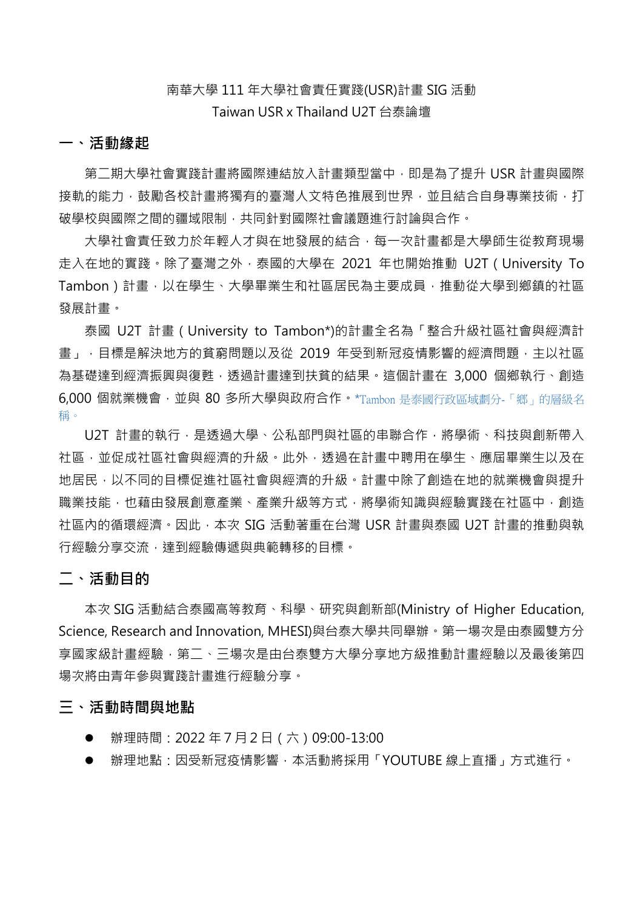## 南華大學 111 年大學社會責任實踐(USR)計畫 SIG 活動 Taiwan USR x Thailand U2T 台泰論壇

#### **一、活動緣起**

第二期大學社會實踐計畫將國際連結放入計畫類型當中,即是為了提升 USR 計畫與國際 接軌的能力,鼓勵各校計書將獨有的臺灣人文特色推展到世界,並且結合自身專業技術,打 破學校與國際之間的疆域限制,共同針對國際社會議題進行討論與合作。

大學社會責任致力於年輕人才與在地發展的結合,每一次計畫都是大學師生從教育現場 走入在地的實踐。除了臺灣之外,泰國的大學在 2021 年也開始推動 U2T(University To Tambon)計畫,以在學生、大學畢業生和社區居民為主要成員,推動從大學到鄉鎮的社區 發展計畫。

泰國 U2T 計畫(University to Tambon\*)的計畫全名為「整合升級社區社會與經濟計 畫」,目標是解決地方的貧窮問題以及從 2019 年受到新冠疫情影響的經濟問題,主以社區 為基礎達到經濟振興與復甦,透過計畫達到扶貧的結果。這個計畫在 3,000 個鄉執行、創造 6,000 個就業機會,並與 80 多所大學與政府合作。\*Tambon 是泰國行政區域劃分-「鄉」的層級名 稱。

U2T 計畫的執行,是诱過大學、公私部門與社區的串聯合作,將學術、科技與創新帶入 社區,並促成社區社會與經濟的升級。此外,透過在計畫中聘用在學生、應屆畢業生以及在 地居民,以不同的目標促進社區社會與經濟的升級。計畫中除了創造在地的就業機會與提升 職業技能,也藉由發展創意產業、產業升級等方式,將學術知識與經驗實踐在社區中,創造 社區內的循環經濟。因此,本次 SIG 活動著重在台灣 USR 計畫與泰國 U2T 計畫的推動與執 行經驗分享交流,達到經驗傳遞與典範轉移的目標。

#### **二、活動目的**

本次 SIG 活動結合泰國高等教育、科學、研究與創新部(Ministry of Higher Education, Science, Research and Innovation, MHESI)與台泰大學共同舉辦。第一場次是由泰國雙方分 享國家級計畫經驗,第二、三場次是由台泰雙方大學分享地方級推動計畫經驗以及最後第四 場次將由青年參與實踐計畫進行經驗分享。

#### **三、活動時間與地點**

- l 辦理時間:2022 年7月2日(六)09:00-13:00
- l 辦理地點:因受新冠疫情影響,本活動將採用「YOUTUBE 線上直播」方式進行。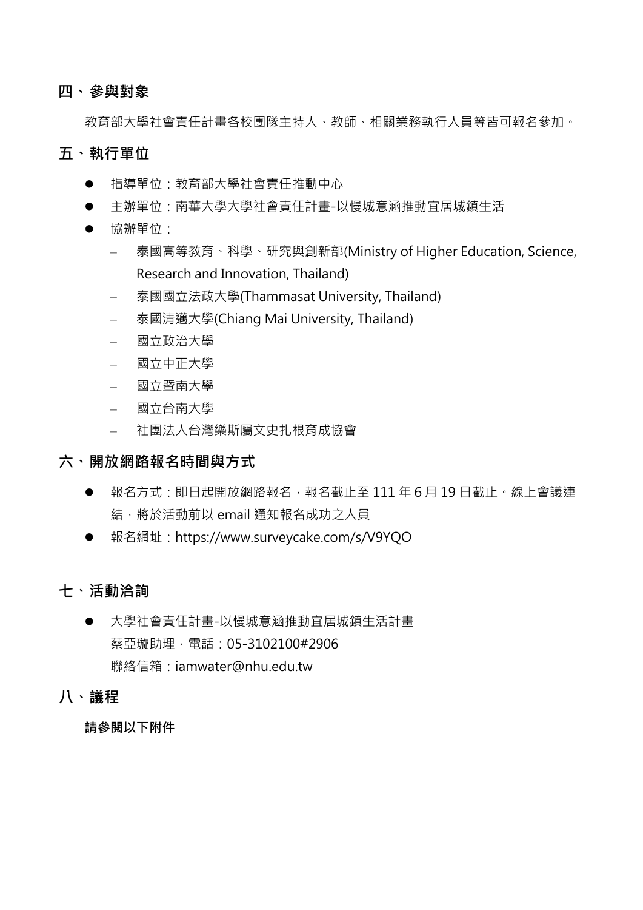### **四、參與對象**

教育部大學社會責任計畫各校團隊主持人、教師、相關業務執行人員等皆可報名參加。

### **五、執行單位**

- l 指導單位:教育部大學社會責任推動中心
- l 主辦單位:南華大學大學社會責任計畫-以慢城意涵推動宜居城鎮生活
- 協辦單位:
	- 泰國高等教育、科學、研究與創新部(Ministry of Higher Education, Science, Research and Innovation, Thailand)
	- 泰國國立法政大學(Thammasat University, Thailand)
	- 泰國清邁大學(Chiang Mai University, Thailand)
	- 國立政治大學
	- 國立中正大學
	- 國立暨南大學
	- 國立台南大學
	- 社團法人台灣樂斯屬文史扎根育成協會

#### **六、開放網路報名時間與方式**

- 報名方式:即日起開放網路報名,報名截止至 111 年 6 月 19 日截止。線上會議連 結,將於活動前以 email 通知報名成功之人員
- l 報名網址:https://www.surveycake.com/s/V9YQO

## **七、活動洽詢**

- 大學社會責任計畫-以慢城意涵推動官居城鎮生活計畫 蔡亞璇助理,電話:05-3102100#2906 聯絡信箱:iamwater@nhu.edu.tw
- **八、議程**

**請參閱以下附件**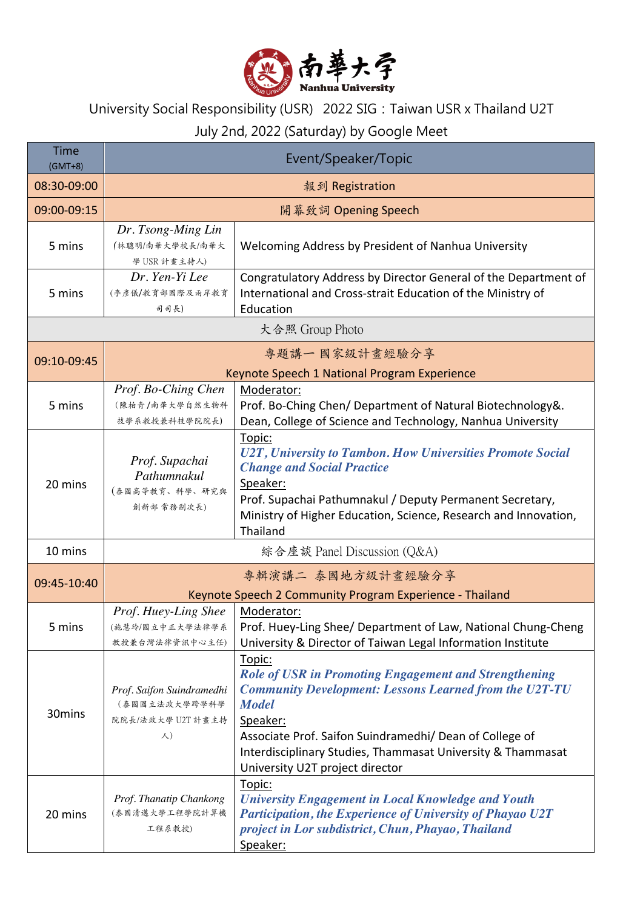

# University Social Responsibility (USR) 2022 SIG:Taiwan USR x Thailand U2T

## July 2nd, 2022 (Saturday) by Google Meet

| <b>Time</b><br>$(GMT+8)$ | Event/Speaker/Topic                                                           |                                                                                                                                                                                                                                                                                                                                  |  |  |
|--------------------------|-------------------------------------------------------------------------------|----------------------------------------------------------------------------------------------------------------------------------------------------------------------------------------------------------------------------------------------------------------------------------------------------------------------------------|--|--|
| 08:30-09:00              | 報到 Registration                                                               |                                                                                                                                                                                                                                                                                                                                  |  |  |
| 09:00-09:15              | 開幕致詞 Opening Speech                                                           |                                                                                                                                                                                                                                                                                                                                  |  |  |
| 5 mins                   | Dr. Tsong-Ming Lin<br>(林聰明/南華大學校長/南華大<br>學 USR 計畫主持人)                         | Welcoming Address by President of Nanhua University                                                                                                                                                                                                                                                                              |  |  |
| 5 mins                   | Dr. Yen-Yi Lee<br>(李彦儀/教育部國際及兩岸教育<br>司司長)                                     | Congratulatory Address by Director General of the Department of<br>International and Cross-strait Education of the Ministry of<br>Education                                                                                                                                                                                      |  |  |
| 大合照 Group Photo          |                                                                               |                                                                                                                                                                                                                                                                                                                                  |  |  |
| 09:10-09:45              | 專題講一國家級計畫經驗分享<br>Keynote Speech 1 National Program Experience                 |                                                                                                                                                                                                                                                                                                                                  |  |  |
| 5 mins                   | Prof. Bo-Ching Chen<br>(陳柏青/南華大學自然生物科<br>技學系教授兼科技學院院長)                        | Moderator:<br>Prof. Bo-Ching Chen/ Department of Natural Biotechnology&.<br>Dean, College of Science and Technology, Nanhua University                                                                                                                                                                                           |  |  |
| 20 mins                  | Prof. Supachai<br>Pathumnakul<br>(泰國高等教育、科學、研究與<br>創新部 常務副次長)                 | Topic:<br>U2T, University to Tambon. How Universities Promote Social<br><b>Change and Social Practice</b><br>Speaker:<br>Prof. Supachai Pathumnakul / Deputy Permanent Secretary,<br>Ministry of Higher Education, Science, Research and Innovation,<br>Thailand                                                                 |  |  |
| 10 mins                  | 綜合座談 Panel Discussion (Q&A)                                                   |                                                                                                                                                                                                                                                                                                                                  |  |  |
| 09:45-10:40              | 專輯演講二 泰國地方級計畫經驗分享<br>Keynote Speech 2 Community Program Experience - Thailand |                                                                                                                                                                                                                                                                                                                                  |  |  |
| 5 mins                   | Prof. Huey-Ling Shee<br>教授兼台灣法律資訊中心主任)                                        | Moderator:<br>(施慧玲/國立中正大學法律學系   Prof. Huey-Ling Shee/ Department of Law, National Chung-Cheng<br>University & Director of Taiwan Legal Information Institute                                                                                                                                                                     |  |  |
| 30mins                   | Prof. Saifon Suindramedhi<br>(泰國國立法政大學跨學科學<br>院院長/法政大學 U2T 計畫主持<br>人)         | Topic:<br><b>Role of USR in Promoting Engagement and Strengthening</b><br><b>Community Development: Lessons Learned from the U2T-TU</b><br><b>Model</b><br>Speaker:<br>Associate Prof. Saifon Suindramedhi/ Dean of College of<br>Interdisciplinary Studies, Thammasat University & Thammasat<br>University U2T project director |  |  |
| 20 mins                  | Prof. Thanatip Chankong<br>(泰國清邁大學工程學院計算機<br>工程系教授)                           | Topic:<br><b>University Engagement in Local Knowledge and Youth</b><br><b>Participation, the Experience of University of Phayao U2T</b><br>project in Lor subdistrict, Chun, Phayao, Thailand<br>Speaker:                                                                                                                        |  |  |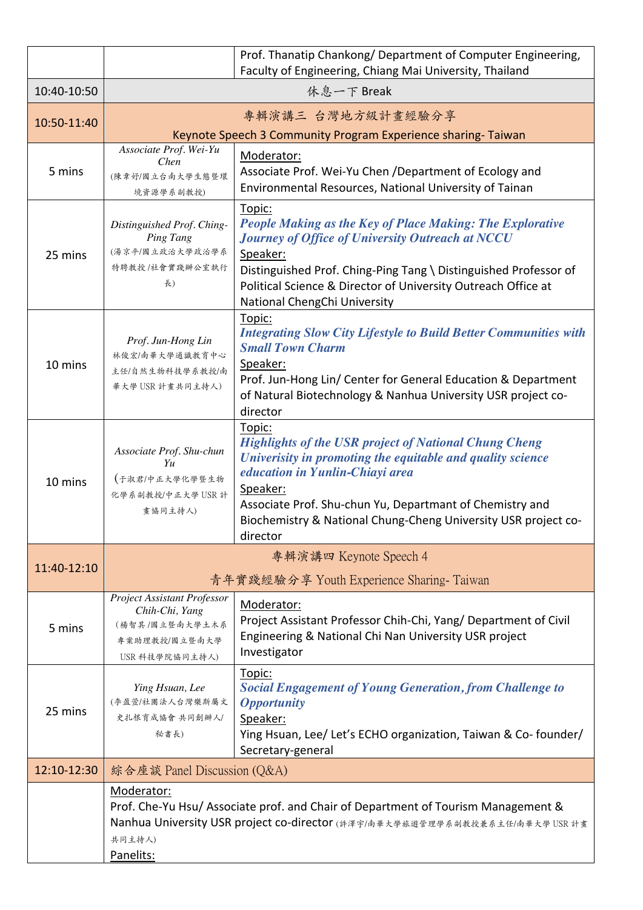|             |                                                                                                                                                                                                        | Prof. Thanatip Chankong/ Department of Computer Engineering,<br>Faculty of Engineering, Chiang Mai University, Thailand                                                                                                                                                                                                       |  |
|-------------|--------------------------------------------------------------------------------------------------------------------------------------------------------------------------------------------------------|-------------------------------------------------------------------------------------------------------------------------------------------------------------------------------------------------------------------------------------------------------------------------------------------------------------------------------|--|
| 10:40-10:50 | 休息一下 Break                                                                                                                                                                                             |                                                                                                                                                                                                                                                                                                                               |  |
| 10:50-11:40 | 專輯演講三 台灣地方級計畫經驗分享                                                                                                                                                                                      |                                                                                                                                                                                                                                                                                                                               |  |
|             | Keynote Speech 3 Community Program Experience sharing-Taiwan                                                                                                                                           |                                                                                                                                                                                                                                                                                                                               |  |
| 5 mins      | Associate Prof. Wei-Yu<br>Chen<br>(陳韋妤/國立台南大學生態暨環<br>境資源學系副教授)                                                                                                                                         | Moderator:<br>Associate Prof. Wei-Yu Chen / Department of Ecology and<br>Environmental Resources, National University of Tainan                                                                                                                                                                                               |  |
| 25 mins     | Distinguished Prof. Ching-<br>Ping Tang<br>(湯京平/國立政治大學政治學系<br>特聘教授/社會實踐辦公室執行<br>長)                                                                                                                     | Topic:<br><b>People Making as the Key of Place Making: The Explorative</b><br>Journey of Office of University Outreach at NCCU<br>Speaker:<br>Distinguished Prof. Ching-Ping Tang \ Distinguished Professor of<br>Political Science & Director of University Outreach Office at<br>National ChengChi University               |  |
| 10 mins     | Prof. Jun-Hong Lin<br>林俊宏/南華大學通識教育中心<br>主任/自然生物科技學系教授/南<br>華大學 USR 計畫共同主持人)                                                                                                                            | Topic:<br><b>Integrating Slow City Lifestyle to Build Better Communities with</b><br><b>Small Town Charm</b><br>Speaker:<br>Prof. Jun-Hong Lin/ Center for General Education & Department<br>of Natural Biotechnology & Nanhua University USR project co-<br>director                                                         |  |
| 10 mins     | Associate Prof. Shu-chun<br>Yu<br>(于淑君/中正大學化學暨生物<br>化學系副教授/中正大學 USR 計<br>畫協同主持人)                                                                                                                       | Topic:<br><b>Highlights of the USR project of National Chung Cheng</b><br>Univerisity in promoting the equitable and quality science<br>education in Yunlin-Chiayi area<br>Speaker:<br>Associate Prof. Shu-chun Yu, Departmant of Chemistry and<br>Biochemistry & National Chung-Cheng University USR project co-<br>director |  |
|             |                                                                                                                                                                                                        | 專輯演講四 Keynote Speech 4                                                                                                                                                                                                                                                                                                        |  |
| 11:40-12:10 | 青年實踐經驗分享 Youth Experience Sharing-Taiwan                                                                                                                                                               |                                                                                                                                                                                                                                                                                                                               |  |
| 5 mins      | <b>Project Assistant Professor</b><br>Chih-Chi, Yang<br>(楊智其/國立暨南大學土木系<br>專案助理教授/國立暨南大學<br>USR 科技學院協同主持人)                                                                                              | Moderator:<br>Project Assistant Professor Chih-Chi, Yang/ Department of Civil<br>Engineering & National Chi Nan University USR project<br>Investigator                                                                                                                                                                        |  |
| 25 mins     | Ying Hsuan, Lee<br>(李盈萱/社團法人台灣樂斯屬文<br>史扎根育成協會 共同創辦人/<br>秘書長)                                                                                                                                           | Topic:<br><b>Social Engagement of Young Generation, from Challenge to</b><br><b>Opportunity</b><br>Speaker:<br>Ying Hsuan, Lee/ Let's ECHO organization, Taiwan & Co-founder/<br>Secretary-general                                                                                                                            |  |
| 12:10-12:30 | 綜合座談 Panel Discussion (Q&A)                                                                                                                                                                            |                                                                                                                                                                                                                                                                                                                               |  |
|             | Moderator:<br>Prof. Che-Yu Hsu/ Associate prof. and Chair of Department of Tourism Management &<br>Nanhua University USR project co-director (許澤宇/南華大學旅遊管理學系副教授兼系主任/南華大學 USR 計畫<br>共同主持人)<br>Panelits: |                                                                                                                                                                                                                                                                                                                               |  |